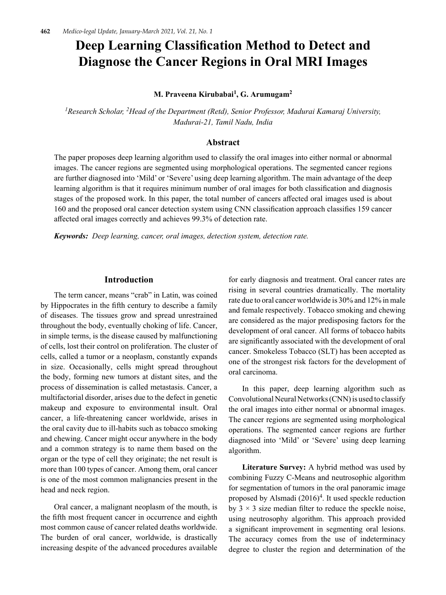# **Deep Learning Classification Method to Detect and Diagnose the Cancer Regions in Oral MRI Images**

**M. Praveena Kirubabai1 , G. Arumugam<sup>2</sup>**

*1 Research Scholar, 2Head of the Department (Retd), Senior Professor, Madurai Kamaraj University, Madurai-21, Tamil Nadu, India*

### **Abstract**

The paper proposes deep learning algorithm used to classify the oral images into either normal or abnormal images. The cancer regions are segmented using morphological operations. The segmented cancer regions are further diagnosed into 'Mild' or 'Severe' using deep learning algorithm. The main advantage of the deep learning algorithm is that it requires minimum number of oral images for both classification and diagnosis stages of the proposed work. In this paper, the total number of cancers affected oral images used is about 160 and the proposed oral cancer detection system using CNN classification approach classifies 159 cancer affected oral images correctly and achieves 99.3% of detection rate.

*Keywords: Deep learning, cancer, oral images, detection system, detection rate.*

#### **Introduction**

The term cancer, means "crab" in Latin, was coined by Hippocrates in the fifth century to describe a family of diseases. The tissues grow and spread unrestrained throughout the body, eventually choking of life. Cancer, in simple terms, is the disease caused by malfunctioning of cells, lost their control on proliferation. The cluster of cells, called a tumor or a neoplasm, constantly expands in size. Occasionally, cells might spread throughout the body, forming new tumors at distant sites, and the process of dissemination is called metastasis. Cancer, a multifactorial disorder, arises due to the defect in genetic makeup and exposure to environmental insult. Oral cancer, a life-threatening cancer worldwide, arises in the oral cavity due to ill-habits such as tobacco smoking and chewing. Cancer might occur anywhere in the body and a common strategy is to name them based on the organ or the type of cell they originate; the net result is more than 100 types of cancer. Among them, oral cancer is one of the most common malignancies present in the head and neck region.

Oral cancer, a malignant neoplasm of the mouth, is the fifth most frequent cancer in occurrence and eighth most common cause of cancer related deaths worldwide. The burden of oral cancer, worldwide, is drastically increasing despite of the advanced procedures available for early diagnosis and treatment. Oral cancer rates are rising in several countries dramatically. The mortality rate due to oral cancer worldwide is 30% and 12% in male and female respectively. Tobacco smoking and chewing are considered as the major predisposing factors for the development of oral cancer. All forms of tobacco habits are significantly associated with the development of oral cancer. Smokeless Tobacco (SLT) has been accepted as one of the strongest risk factors for the development of oral carcinoma.

In this paper, deep learning algorithm such as Convolutional Neural Networks (CNN) is used to classify the oral images into either normal or abnormal images. The cancer regions are segmented using morphological operations. The segmented cancer regions are further diagnosed into 'Mild' or 'Severe' using deep learning algorithm.

**Literature Survey:** A hybrid method was used by combining Fuzzy C-Means and neutrosophic algorithm for segmentation of tumors in the oral panoramic image proposed by Alsmadi  $(2016)^4$ . It used speckle reduction by  $3 \times 3$  size median filter to reduce the speckle noise, using neutrosophy algorithm. This approach provided a significant improvement in segmenting oral lesions. The accuracy comes from the use of indeterminacy degree to cluster the region and determination of the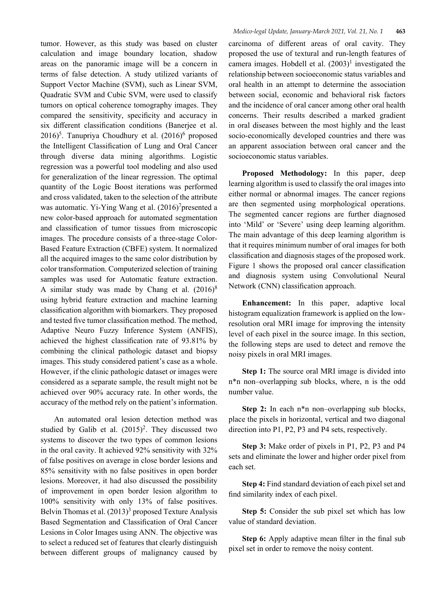tumor. However, as this study was based on cluster calculation and image boundary location, shadow areas on the panoramic image will be a concern in terms of false detection. A study utilized variants of Support Vector Machine (SVM), such as Linear SVM, Quadratic SVM and Cubic SVM, were used to classify tumors on optical coherence tomography images. They compared the sensitivity, specificity and accuracy in six different classification conditions (Banerjee et al.  $2016$ <sup>5</sup>. Tanupriya Choudhury et al.  $(2016)^6$  proposed the Intelligent Classification of Lung and Oral Cancer through diverse data mining algorithms. Logistic regression was a powerful tool modeling and also used for generalization of the linear regression. The optimal quantity of the Logic Boost iterations was performed and cross validated, taken to the selection of the attribute was automatic. Yi-Ying Wang et al. (2016)<sup>7</sup> presented a new color-based approach for automated segmentation and classification of tumor tissues from microscopic images. The procedure consists of a three-stage Color-Based Feature Extraction (CBFE) system. It normalized all the acquired images to the same color distribution by color transformation. Computerized selection of training samples was used for Automatic feature extraction. A similar study was made by Chang et al.  $(2016)^8$ using hybrid feature extraction and machine learning classification algorithm with biomarkers. They proposed and tested five tumor classification method. The method, Adaptive Neuro Fuzzy Inference System (ANFIS), achieved the highest classification rate of 93.81% by combining the clinical pathologic dataset and biopsy images. This study considered patient's case as a whole. However, if the clinic pathologic dataset or images were considered as a separate sample, the result might not be achieved over 90% accuracy rate. In other words, the accuracy of the method rely on the patient's information.

An automated oral lesion detection method was studied by Galib et al.  $(2015)^2$ . They discussed two systems to discover the two types of common lesions in the oral cavity. It achieved 92% sensitivity with 32% of false positives on average in close border lesions and 85% sensitivity with no false positives in open border lesions. Moreover, it had also discussed the possibility of improvement in open border lesion algorithm to 100% sensitivity with only 13% of false positives. Belvin Thomas et al.  $(2013)^3$  proposed Texture Analysis Based Segmentation and Classification of Oral Cancer Lesions in Color Images using ANN. The objective was to select a reduced set of features that clearly distinguish between different groups of malignancy caused by carcinoma of different areas of oral cavity. They proposed the use of textural and run-length features of camera images. Hobdell et al.  $(2003)^1$  investigated the relationship between socioeconomic status variables and oral health in an attempt to determine the association between social, economic and behavioral risk factors and the incidence of oral cancer among other oral health concerns. Their results described a marked gradient in oral diseases between the most highly and the least socio-economically developed countries and there was an apparent association between oral cancer and the socioeconomic status variables.

**Proposed Methodology:** In this paper, deep learning algorithm is used to classify the oral images into either normal or abnormal images. The cancer regions are then segmented using morphological operations. The segmented cancer regions are further diagnosed into 'Mild' or 'Severe' using deep learning algorithm. The main advantage of this deep learning algorithm is that it requires minimum number of oral images for both classification and diagnosis stages of the proposed work. Figure 1 shows the proposed oral cancer classification and diagnosis system using Convolutional Neural Network (CNN) classification approach.

**Enhancement:** In this paper, adaptive local histogram equalization framework is applied on the lowresolution oral MRI image for improving the intensity level of each pixel in the source image. In this section, the following steps are used to detect and remove the noisy pixels in oral MRI images.

**Step 1:** The source oral MRI image is divided into n\*n non–overlapping sub blocks, where, n is the odd number value.

Step 2: In each n<sup>\*</sup>n non–overlapping sub blocks, place the pixels in horizontal, vertical and two diagonal direction into P1, P2, P3 and P4 sets, respectively.

**Step 3:** Make order of pixels in P1, P2, P3 and P4 sets and eliminate the lower and higher order pixel from each set.

**Step 4:** Find standard deviation of each pixel set and find similarity index of each pixel.

**Step 5:** Consider the sub pixel set which has low value of standard deviation.

**Step 6:** Apply adaptive mean filter in the final sub pixel set in order to remove the noisy content.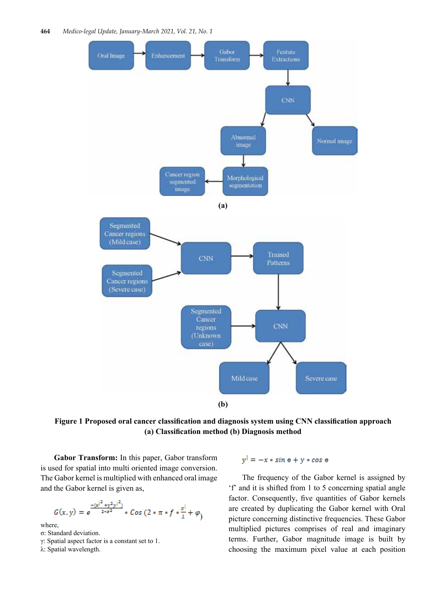

**Figure 1 Proposed oral cancer classification and diagnosis system using CNN classification approach (a) Classification method (b) Diagnosis method**

**Gabor Transform:** In this paper, Gabor transform is used for spatial into multi oriented image conversion. The Gabor kernel is multiplied with enhanced oral image and the Gabor kernel is given as,

$$
G(x,y) = e^{\frac{-(x|^2 + y^2 y)^2}{2 + \sigma^2}} * \cos(2 * \pi * f * \frac{x^2}{\lambda} + \varphi)
$$

where,

σ: Standard deviation.

γ: Spatial aspect factor is a constant set to 1.

λ: Spatial wavelength.

 $y^{\dagger} = -x * sin \theta + y * cos \theta$ 

The frequency of the Gabor kernel is assigned by 'f' and it is shifted from 1 to 5 concerning spatial angle factor. Consequently, five quantities of Gabor kernels are created by duplicating the Gabor kernel with Oral picture concerning distinctive frequencies. These Gabor multiplied pictures comprises of real and imaginary terms. Further, Gabor magnitude image is built by choosing the maximum pixel value at each position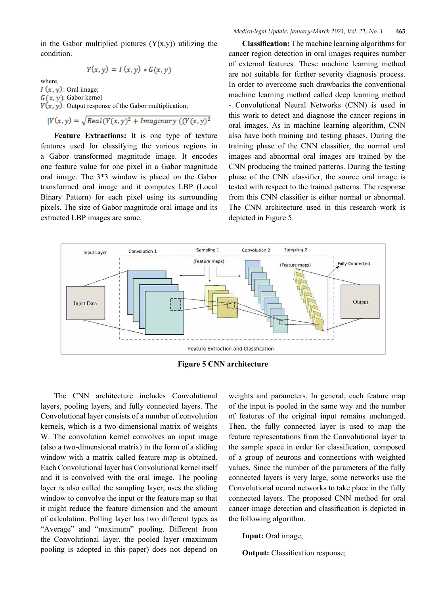in the Gabor multiplied pictures  $(Y(x,y))$  utilizing the condition.

$$
Y(x,y) = I(x,y) * G(x,y)
$$

where,

 $I(x, y)$ : Oral image;  $G(x, y)$ : Gabor kernel  $Y(x, y)$ : Output response of the Gabor multiplication;

$$
Y(x, y) = \sqrt{Real(Y(x, y)^2 + Imaginary ((Y(x, y)^2))}
$$

**Feature Extractions:** It is one type of texture features used for classifying the various regions in a Gabor transformed magnitude image. It encodes one feature value for one pixel in a Gabor magnitude oral image. The 3\*3 window is placed on the Gabor transformed oral image and it computes LBP (Local Binary Pattern) for each pixel using its surrounding pixels. The size of Gabor magnitude oral image and its extracted LBP images are same.

**Classification:** The machine learning algorithms for cancer region detection in oral images requires number of external features. These machine learning method are not suitable for further severity diagnosis process. In order to overcome such drawbacks the conventional machine learning method called deep learning method - Convolutional Neural Networks (CNN) is used in this work to detect and diagnose the cancer regions in oral images. As in machine learning algorithm, CNN also have both training and testing phases. During the training phase of the CNN classifier, the normal oral images and abnormal oral images are trained by the CNN producing the trained patterns. During the testing phase of the CNN classifier, the source oral image is tested with respect to the trained patterns. The response from this CNN classifier is either normal or abnormal. The CNN architecture used in this research work is depicted in Figure 5.



**Figure 5 CNN architecture**

The CNN architecture includes Convolutional layers, pooling layers, and fully connected layers. The Convolutional layer consists of a number of convolution kernels, which is a two-dimensional matrix of weights W. The convolution kernel convolves an input image (also a two-dimensional matrix) in the form of a sliding window with a matrix called feature map is obtained. Each Convolutional layer has Convolutional kernel itself and it is convolved with the oral image. The pooling layer is also called the sampling layer, uses the sliding window to convolve the input or the feature map so that it might reduce the feature dimension and the amount of calculation. Polling layer has two different types as "Average" and "maximum" pooling. Different from the Convolutional layer, the pooled layer (maximum pooling is adopted in this paper) does not depend on weights and parameters. In general, each feature map of the input is pooled in the same way and the number of features of the original input remains unchanged. Then, the fully connected layer is used to map the feature representations from the Convolutional layer to the sample space in order for classification, composed of a group of neurons and connections with weighted values. Since the number of the parameters of the fully connected layers is very large, some networks use the Convolutional neural networks to take place in the fully connected layers. The proposed CNN method for oral cancer image detection and classification is depicted in the following algorithm.

#### **Input:** Oral image;

**Output:** Classification response;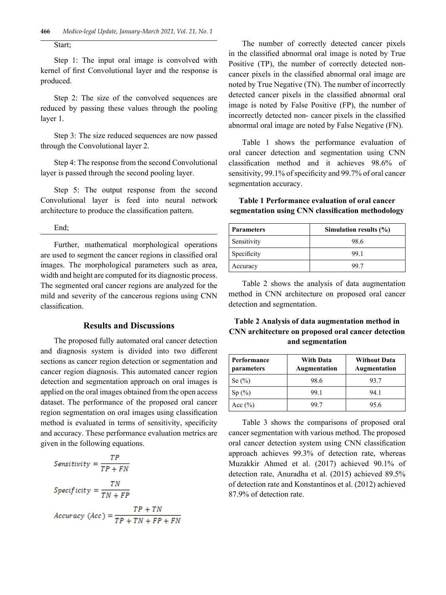Step 1: The input oral image is convolved with kernel of first Convolutional layer and the response is produced.

Step 2: The size of the convolved sequences are reduced by passing these values through the pooling layer 1.

Step 3: The size reduced sequences are now passed through the Convolutional layer 2.

Step 4: The response from the second Convolutional layer is passed through the second pooling layer.

Step 5: The output response from the second Convolutional layer is feed into neural network architecture to produce the classification pattern.

End;

Further, mathematical morphological operations are used to segment the cancer regions in classified oral images. The morphological parameters such as area, width and height are computed for its diagnostic process. The segmented oral cancer regions are analyzed for the mild and severity of the cancerous regions using CNN classification.

#### **Results and Discussions**

The proposed fully automated oral cancer detection and diagnosis system is divided into two different sections as cancer region detection or segmentation and cancer region diagnosis. This automated cancer region detection and segmentation approach on oral images is applied on the oral images obtained from the open access dataset. The performance of the proposed oral cancer region segmentation on oral images using classification method is evaluated in terms of sensitivity, specificity and accuracy. These performance evaluation metrics are given in the following equations.

Sensitivity = 
$$
\frac{TP}{TP + FN}
$$
  
Specificity = 
$$
\frac{TN}{TN + FP}
$$
  
Accuracy (Acc) = 
$$
\frac{TP + TN}{TP + TN + FP + FN}
$$

The number of correctly detected cancer pixels in the classified abnormal oral image is noted by True Positive (TP), the number of correctly detected noncancer pixels in the classified abnormal oral image are noted by True Negative (TN). The number of incorrectly detected cancer pixels in the classified abnormal oral image is noted by False Positive (FP), the number of incorrectly detected non- cancer pixels in the classified abnormal oral image are noted by False Negative (FN).

Table 1 shows the performance evaluation of oral cancer detection and segmentation using CNN classification method and it achieves 98.6% of sensitivity, 99.1% of specificity and 99.7% of oral cancer segmentation accuracy.

**Table 1 Performance evaluation of oral cancer segmentation using CNN classification methodology**

| <b>Parameters</b> | Simulation results $(\% )$ |
|-------------------|----------------------------|
| Sensitivity       | 98.6                       |
| Specificity       | 99.1                       |
| Accuracy          | 99.7                       |

Table 2 shows the analysis of data augmentation method in CNN architecture on proposed oral cancer detection and segmentation.

## **Table 2 Analysis of data augmentation method in CNN architecture on proposed oral cancer detection and segmentation**

| Performance<br>parameters | <b>With Data</b><br>Augmentation | <b>Without Data</b><br>Augmentation |  |
|---------------------------|----------------------------------|-------------------------------------|--|
| Se $(\%)$                 | 98.6                             | 93.7                                |  |
| Sp(%)                     | 99.1                             | 94.1                                |  |
| Acc $(\% )$               | 99.7                             | 95.6                                |  |

Table 3 shows the comparisons of proposed oral cancer segmentation with various method. The proposed oral cancer detection system using CNN classification approach achieves 99.3% of detection rate, whereas Muzakkir Ahmed et al. (2017) achieved 90.1% of detection rate, Anuradha et al. (2015) achieved 89.5% of detection rate and Konstantinos et al. (2012) achieved 87.9% of detection rate.

Start;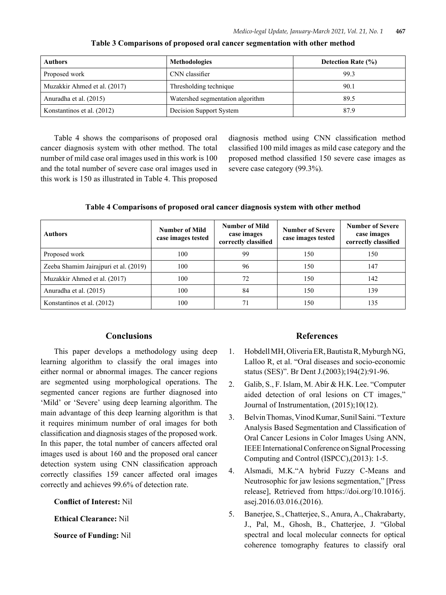| <b>Authors</b>               | <b>Methodologies</b>             | <b>Detection Rate (%)</b> |  |
|------------------------------|----------------------------------|---------------------------|--|
| Proposed work                | CNN classifier                   | 99.3                      |  |
| Muzakkir Ahmed et al. (2017) | Thresholding technique           | 90.1                      |  |
| Anuradha et al. (2015)       | Watershed segmentation algorithm | 89.5                      |  |
| Konstantinos et al. (2012)   | Decision Support System          | 87.9                      |  |

**Table 3 Comparisons of proposed oral cancer segmentation with other method**

Table 4 shows the comparisons of proposed oral cancer diagnosis system with other method. The total number of mild case oral images used in this work is 100 and the total number of severe case oral images used in this work is 150 as illustrated in Table 4. This proposed diagnosis method using CNN classification method classified 100 mild images as mild case category and the proposed method classified 150 severe case images as severe case category (99.3%).

**Table 4 Comparisons of proposed oral cancer diagnosis system with other method**

| <b>Authors</b>                        | <b>Number of Mild</b><br>case images tested | <b>Number of Mild</b><br>case images<br>correctly classified | <b>Number of Severe</b><br>case images tested | <b>Number of Severe</b><br>case images<br>correctly classified |
|---------------------------------------|---------------------------------------------|--------------------------------------------------------------|-----------------------------------------------|----------------------------------------------------------------|
| Proposed work                         | 100                                         | 99                                                           | 150                                           | 150                                                            |
| Zeeba Shamim Jairajpuri et al. (2019) | 100                                         | 96                                                           | 150                                           | 147                                                            |
| Muzakkir Ahmed et al. (2017)          | 100                                         | 72                                                           | 150                                           | 142                                                            |
| Anuradha et al. (2015)                | 100                                         | 84                                                           | 150                                           | 139                                                            |
| Konstantinos et al. (2012)            | 100                                         | 71                                                           | 150                                           | 135                                                            |

## **Conclusions**

This paper develops a methodology using deep learning algorithm to classify the oral images into either normal or abnormal images. The cancer regions are segmented using morphological operations. The segmented cancer regions are further diagnosed into 'Mild' or 'Severe' using deep learning algorithm. The main advantage of this deep learning algorithm is that it requires minimum number of oral images for both classification and diagnosis stages of the proposed work. In this paper, the total number of cancers affected oral images used is about 160 and the proposed oral cancer detection system using CNN classification approach correctly classifies 159 cancer affected oral images correctly and achieves 99.6% of detection rate.

**Conflict of Interest:** Nil

**Ethical Clearance:** Nil

**Source of Funding:** Nil

## **References**

- 1. Hobdell MH, Oliveria ER, Bautista R, Myburgh NG, Lalloo R, et al. "Oral diseases and socio-economic status (SES)". Br Dent J.(2003);194(2):91-96.
- 2. Galib, S., F. Islam, M. Abir & H.K. Lee. "Computer aided detection of oral lesions on CT images," Journal of Instrumentation, (2015);10(12).
- 3. Belvin Thomas, Vinod Kumar, Sunil Saini. "Texture Analysis Based Segmentation and Classification of Oral Cancer Lesions in Color Images Using ANN, IEEE International Conference on Signal Processing Computing and Control (ISPCC),(2013): 1-5.
- 4. Alsmadi, M.K."A hybrid Fuzzy C-Means and Neutrosophic for jaw lesions segmentation," [Press release], Retrieved from https://doi.org/10.1016/j. asej.2016.03.016.(2016).
- 5. Banerjee, S., Chatterjee, S., Anura, A., Chakrabarty, J., Pal, M., Ghosh, B., Chatterjee, J. "Global spectral and local molecular connects for optical coherence tomography features to classify oral